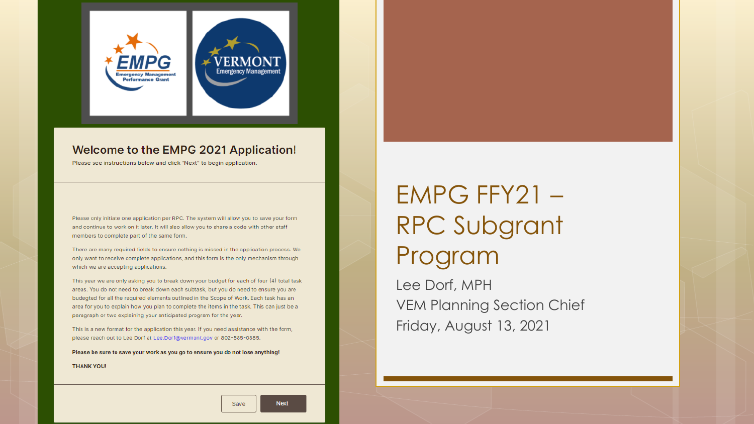

#### Welcome to the EMPG 2021 Application!

Please see instructions below and click "Next" to begin application.

Please only initiate one application per RPC. The system will allow you to save your form and continue to work on it later. It will also allow you to share a code with other staff members to complete part of the same form.

There are many required fields to ensure nothing is missed in the application process. We only want to receive complete applications, and this form is the only mechanism through which we are accepting applications.

This year we are only asking you to break down your budget for each of four (4) total task areas. You do not need to break down each subtask, but you do need to ensure you are budegted for all the required elements outlined in the Scope of Work. Each task has an area for you to explain how you plan to complete the items in the task. This can just be a paragraph or two explaining your anticipated program for the year.

This is a new format for the application this year. If you need assistance with the form, please reach out to Lee Dorf at Lee.Dorf@vermont.gov or 802-585-0885.

Please be sure to save your work as you go to ensure you do not lose anything!

**THANK YOU!** 

EMPG FFY21 – RPC Subgrant Program

Lee Dorf, MPH VEM Planning Section Chief Friday, August 13, 2021

Save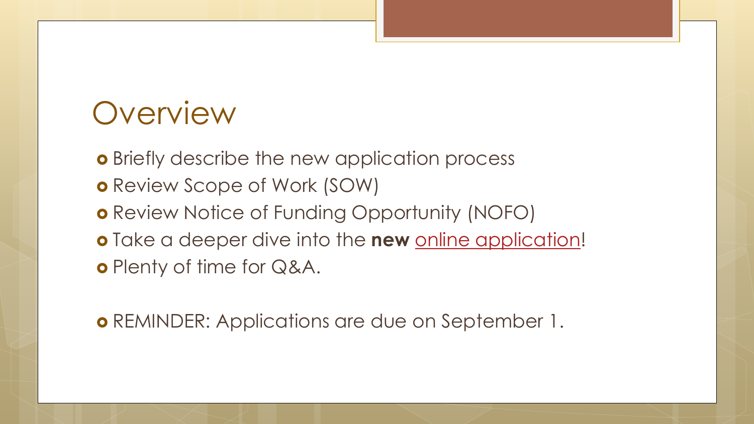## **Overview**

**o** Briefly describe the new application process

- Review Scope of Work (SOW)
- o Review Notice of Funding Opportunity (NOFO)
- **o** Take a deeper dive into the **new** [online application](https://form.jotform.com/211526229519153)! o Plenty of time for Q&A.

o REMINDER: Applications are due on September 1.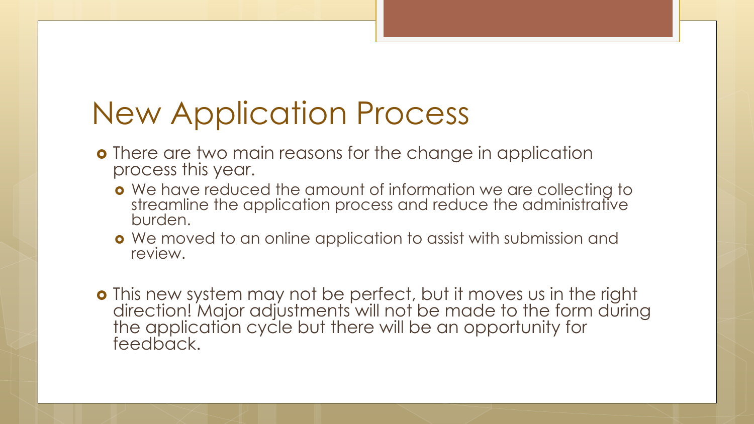# New Application Process

- **o** There are two main reasons for the change in application process this year.
	- We have reduced the amount of information we are collecting to streamline the application process and reduce the administrative burden.
	- We moved to an online application to assist with submission and review.

 This new system may not be perfect, but it moves us in the right direction! Major adjustments will not be made to the form during the application cycle but there will be an opportunity for feedback.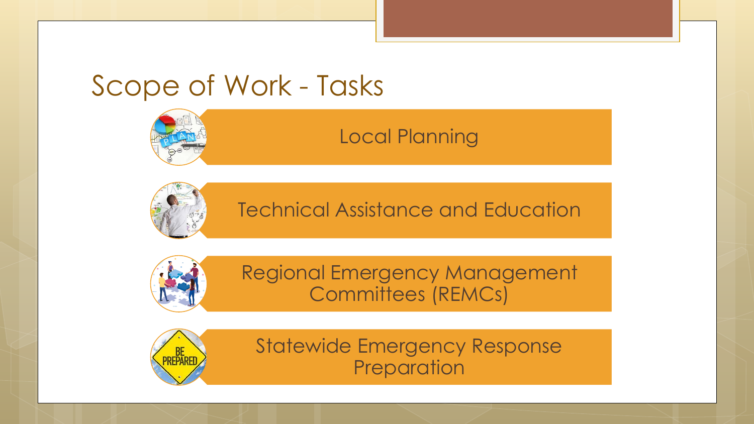## Scope of Work - Tasks



## Local Planning



Technical Assistance and Education



Regional Emergency Management Committees (REMCs)



Statewide Emergency Response **Preparation**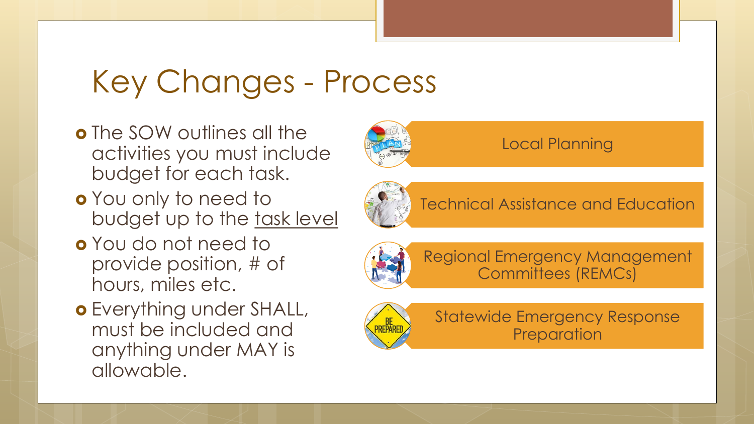## Key Changes - Process

- **o** The SOW outlines all the activities you must include budget for each task.
- You only to need to budget up to the task level
- You do not need to provide position, # of hours, miles etc.
- o Everything under SHALL, must be included and anything under MAY is allowable.



## Local Planning



Technical Assistance and Education



Regional Emergency Management Committees (REMCs)



Statewide Emergency Response **Preparation**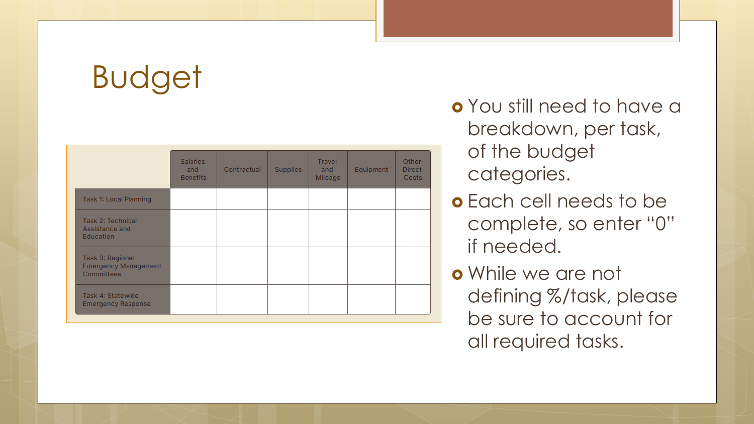# Budget

|                                                                      | <b>Salaries</b><br>and<br><b>Benefits</b> | Contractual | <b>Supplies</b> | Travel<br>and<br>Mileage | Equipment | Other<br><b>Direct</b><br>Costs |
|----------------------------------------------------------------------|-------------------------------------------|-------------|-----------------|--------------------------|-----------|---------------------------------|
| Task 1: Local Planning                                               |                                           |             |                 |                          |           |                                 |
| <b>Task 2: Technical</b><br>Assistance and<br>Education              |                                           |             |                 |                          |           |                                 |
| Task 3: Regional<br><b>Emergency Management</b><br><b>Committees</b> |                                           |             |                 |                          |           |                                 |
| Task 4: Statewide<br><b>Emergency Response</b>                       |                                           |             |                 |                          |           |                                 |

 You still need to have a breakdown, per task, of the budget categories.

- Each cell needs to be complete, so enter "0" if needed.
- While we are not defining %/task, please be sure to account for all required tasks.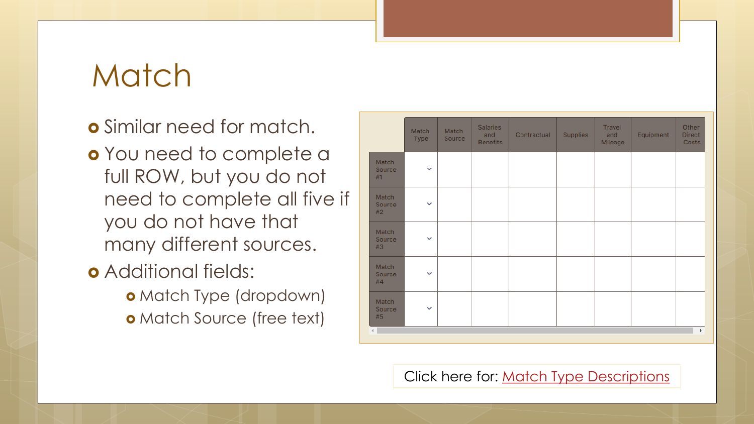## Match

## Similar need for match.

 You need to complete a full ROW, but you do not need to complete all five if you do not have that many different sources.

- **o** Additional fields:
	- o Match Type (dropdown)
	- **o** Match Source (free text)

|                       | Match<br>Type | Match<br>Source | <b>Salaries</b><br>and<br><b>Benefits</b> | Contractual | Supplies | Travel<br>and<br>Mileage | Equipment | Other<br><b>Direct</b><br>Costs |
|-----------------------|---------------|-----------------|-------------------------------------------|-------------|----------|--------------------------|-----------|---------------------------------|
| Match<br>Source<br>#1 | $\checkmark$  |                 |                                           |             |          |                          |           |                                 |
| Match<br>Source<br>#2 | $\checkmark$  |                 |                                           |             |          |                          |           |                                 |
| Match<br>Source<br>#3 | $\checkmark$  |                 |                                           |             |          |                          |           |                                 |
| Match<br>Source<br>#4 | $\checkmark$  |                 |                                           |             |          |                          |           |                                 |
| Match<br>Source<br>#5 | $\checkmark$  |                 |                                           |             |          |                          |           |                                 |
|                       |               |                 |                                           |             |          |                          |           | $\mathbf{b}$                    |

Click here for: [Match Type Descriptions](https://vem.vermont.gov/funding/match)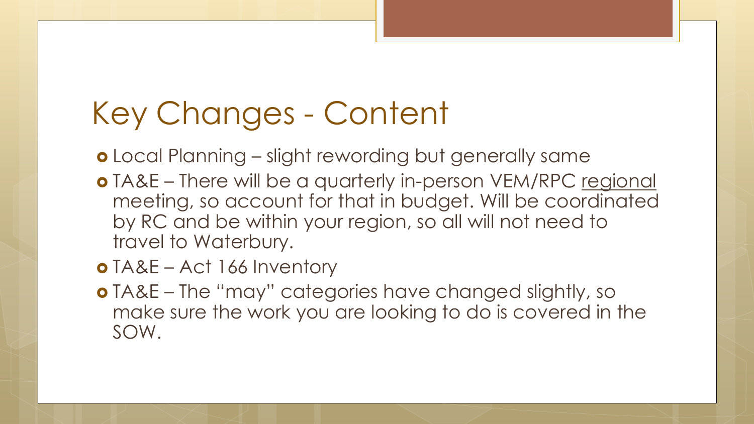# Key Changes - Content

- Local Planning slight rewording but generally same
- TA&E There will be a quarterly in-person VEM/RPC regional meeting, so account for that in budget. Will be coordinated by RC and be within your region, so all will not need to travel to Waterbury.
- TA&E Act 166 Inventory
- TA&E The "may" categories have changed slightly, so make sure the work you are looking to do is covered in the SOW.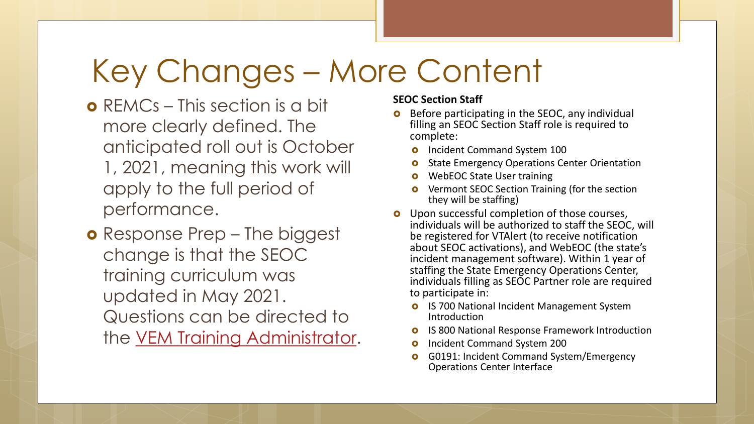# Key Changes – More Content

- **o** REMCs This section is a bit more clearly defined. The anticipated roll out is October 1, 2021, meaning this work will apply to the full period of performance.
- **o** Response Prep The biggest change is that the SEOC training curriculum was updated in May 2021. Questions can be directed to the [VEM Training Administrator.](mailto:DPS.EMHSTraining@vermont.gov?subject=Question:%20SEOC%20Curriculum)

#### **SEOC Section Staff**

- Before participating in the SEOC, any individual filling an SEOC Section Staff role is required to complete:
	- **o** Incident Command System 100
	- **o** State Emergency Operations Center Orientation
	- WebEOC State User training
	- Vermont SEOC Section Training (for the section they will be staffing)
- **o** Upon successful completion of those courses, individuals will be authorized to staff the SEOC, will be registered for VTAlert (to receive notification about SEOC activations), and WebEOC (the state's incident management software). Within 1 year of staffing the State Emergency Operations Center, individuals filling as SEOC Partner role are required to participate in:
	- **o** IS 700 National Incident Management System Introduction
	- **o** IS 800 National Response Framework Introduction
	- **o** Incident Command System 200
	- **o** G0191: Incident Command System/Emergency Operations Center Interface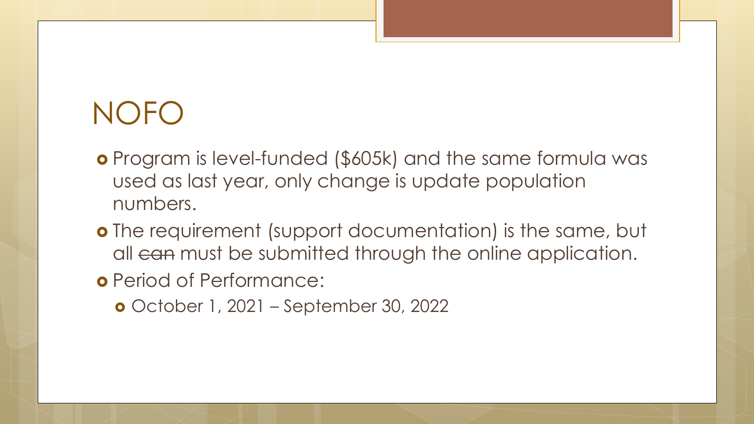# NOFO

- Program is level-funded (\$605k) and the same formula was used as last year, only change is update population numbers.
- o The requirement (support documentation) is the same, but all can must be submitted through the online application.
- Period of Performance:
	- October 1, 2021 September 30, 2022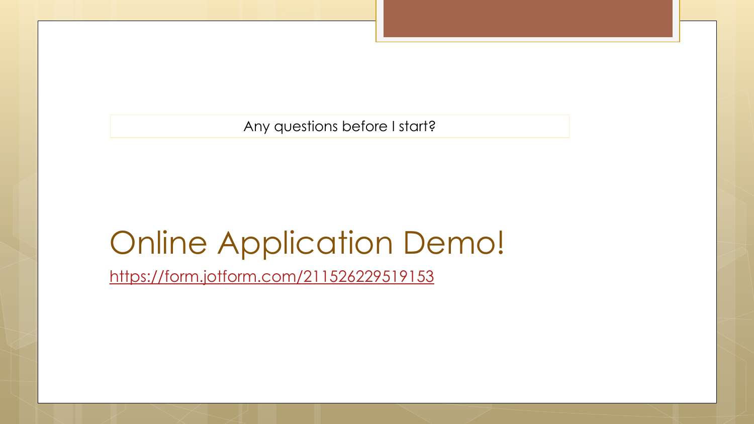Any questions before I start?

## Online Application Demo!

<https://form.jotform.com/211526229519153>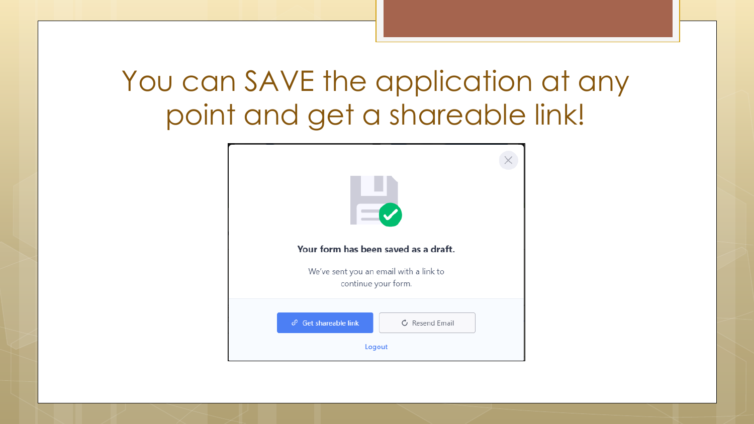## You can SAVE the application at any point and get a shareable link!

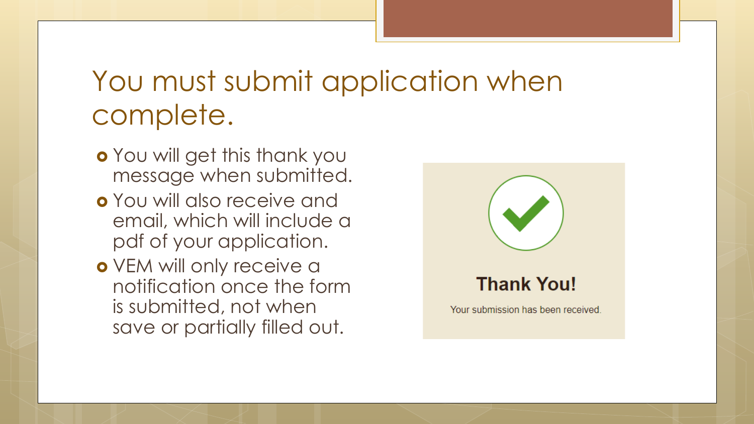## You must submit application when complete.

- You will get this thank you message when submitted.
- You will also receive and email, which will include a pdf of your application.
- o VEM will only receive a notification once the form is submitted, not when save or partially filled out.

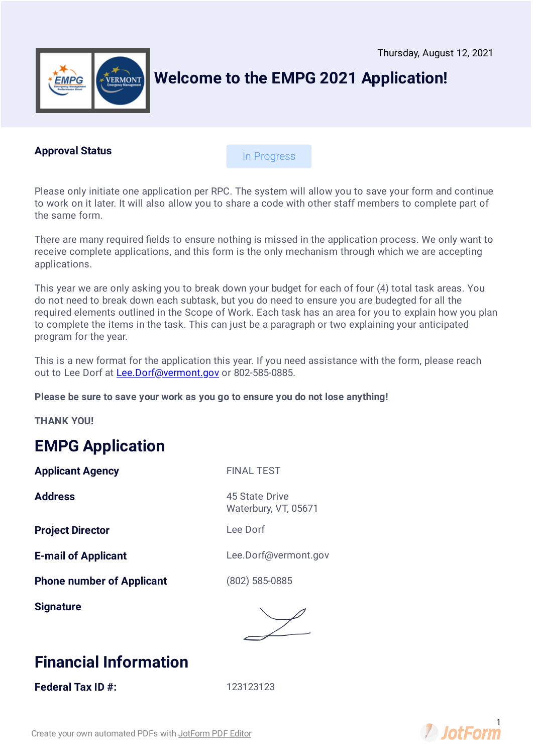

### **Welcome to the EMPG 2021 Application!**

#### **Approval Status**

In Progress

Please only initiate one application per RPC. The system will allow you to save your form and continue to work on it later. It will also allow you to share a code with other staff members to complete part of the same form.

There are many required fields to ensure nothing is missed in the application process. We only want to receive complete applications, and this form is the only mechanism through which we are accepting applications.

This year we are only asking you to break down your budget for each of four (4) total task areas. You do not need to break down each subtask, but you do need to ensure you are budegted for all the required elements outlined in the Scope of Work. Each task has an area for you to explain how you plan to complete the items in the task. This can just be a paragraph or two explaining your anticipated program for the year.

This is a new format for the application this year. If you need assistance with the form, please reach out to Lee Dorf at [Lee.Dorf@vermont.gov](mailto:Lee.Dorf@vermont.gov) or 802-585-0885.

**Please be sure to save your work as you go to ensure you do not lose anything!**

**THANK YOU!**

### **EMPG Application**

**Applicant Agency** FINAL TEST

**Address** 45 State Drive

**Project Director Lee Dorf** 

**Phone number of Applicant** (802) 585-0885

**Signature**

Waterbury, VT, 05671

**E-mail of Applicant** Lee.Dorf@vermont.gov



### **Financial Information**

**Federal Tax ID #:** 123123123

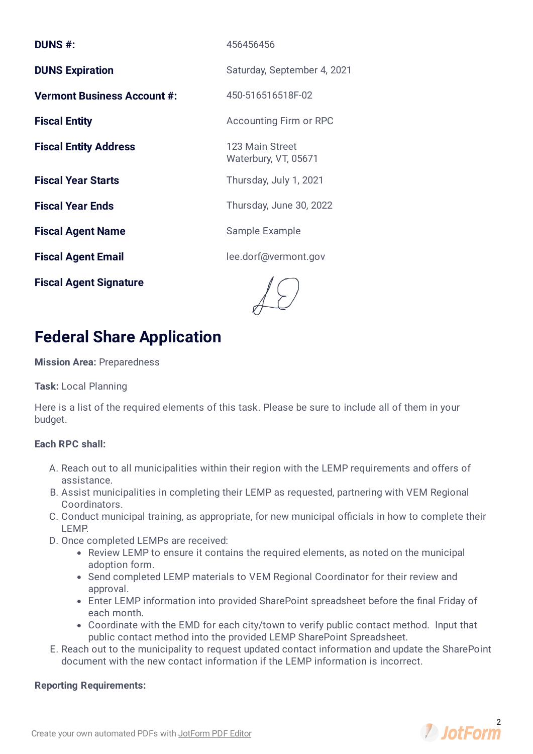| <b>DUNS #:</b>                     | 456456456                               |
|------------------------------------|-----------------------------------------|
| <b>DUNS Expiration</b>             | Saturday, September 4, 2021             |
| <b>Vermont Business Account #:</b> | 450-516516518F-02                       |
| <b>Fiscal Entity</b>               | <b>Accounting Firm or RPC</b>           |
| <b>Fiscal Entity Address</b>       | 123 Main Street<br>Waterbury, VT, 05671 |
| <b>Fiscal Year Starts</b>          | Thursday, July 1, 2021                  |
| <b>Fiscal Year Ends</b>            | Thursday, June 30, 2022                 |
| <b>Fiscal Agent Name</b>           | Sample Example                          |
| <b>Fiscal Agent Email</b>          | lee.dorf@vermont.gov                    |
| <b>Fiscal Agent Signature</b>      |                                         |

**Federal Share Application**

#### **Mission Area:** Preparedness

#### **Task:** Local Planning

Here is a list of the required elements of this task. Please be sure to include all of them in your budget.

#### **Each RPC shall:**

- A. Reach out to all municipalities within their region with the LEMP requirements and offers of assistance.
- B. Assist municipalities in completing their LEMP as requested, partnering with VEM Regional Coordinators.
- C. Conduct municipal training, as appropriate, for new municipal officials in how to complete their LEMP.
- D. Once completed LEMPs are received:
	- Review LEMP to ensure it contains the required elements, as noted on the municipal adoption form.
	- Send completed LEMP materials to VEM Regional Coordinator for their review and approval.
	- Enter LEMP information into provided SharePoint spreadsheet before the final Friday of each month.
	- Coordinate with the EMD for each city/town to verify public contact method. Input that public contact method into the provided LEMP SharePoint Spreadsheet.
- E. Reach out to the municipality to request updated contact information and update the SharePoint document with the new contact information if the LEMP information is incorrect.

#### **Reporting Requirements:**

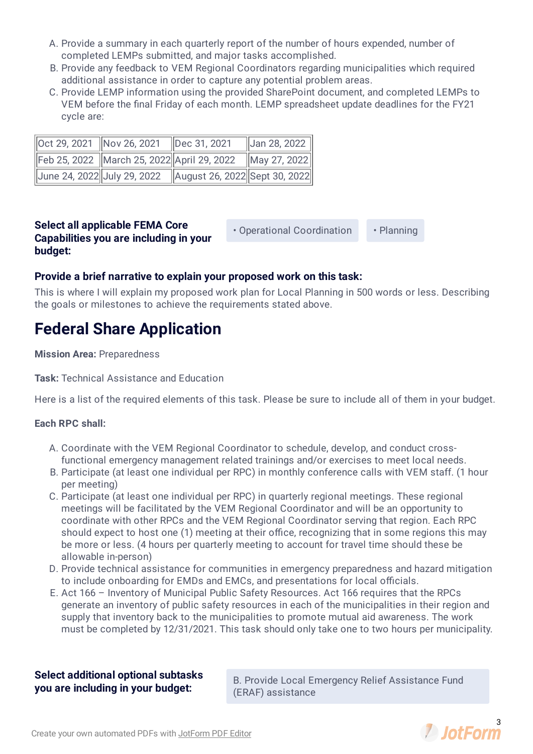- A. Provide a summary in each quarterly report of the number of hours expended, number of completed LEMPs submitted, and major tasks accomplished.
- B. Provide any feedback to VEM Regional Coordinators regarding municipalities which required additional assistance in order to capture any potential problem areas.
- C. Provide LEMP information using the provided SharePoint document, and completed LEMPs to VEM before the final Friday of each month. LEMP spreadsheet update deadlines for the FY21 cycle are:

| Oct 29, 2021 Nov 26, 2021 Dec 31, 2021 |                                                              | $\ $ Jan 28, 2022 $\ $ |
|----------------------------------------|--------------------------------------------------------------|------------------------|
|                                        | Feb 25, 2022 March 25, 2022 April 29, 2022 May 27, 2022      |                        |
|                                        | Uune 24, 2022 July 29, 2022    August 26, 2022 Sept 30, 2022 |                        |

#### **Select all applicable FEMA Core Capabilities you are including in your budget:**

• Operational Coordination • Planning

#### **Provide a brief narrative to explain your proposed work on this task:**

This is where I will explain my proposed work plan for Local Planning in 500 words or less. Describing the goals or milestones to achieve the requirements stated above.

### **Federal Share Application**

#### **Mission Area:** Preparedness

**Task:** Technical Assistance and Education

Here is a list of the required elements of this task. Please be sure to include all of them in your budget.

#### **Each RPC shall:**

- A. Coordinate with the VEM Regional Coordinator to schedule, develop, and conduct crossfunctional emergency management related trainings and/or exercises to meet local needs.
- B. Participate (at least one individual per RPC) in monthly conference calls with VEM staff. (1 hour per meeting)
- C. Participate (at least one individual per RPC) in quarterly regional meetings. These regional meetings will be facilitated by the VEM Regional Coordinator and will be an opportunity to coordinate with other RPCs and the VEM Regional Coordinator serving that region. Each RPC should expect to host one (1) meeting at their office, recognizing that in some regions this may be more or less. (4 hours per quarterly meeting to account for travel time should these be allowable in-person)
- D. Provide technical assistance for communities in emergency preparedness and hazard mitigation to include onboarding for EMDs and EMCs, and presentations for local officials.
- E. Act 166 Inventory of Municipal Public Safety Resources. Act 166 requires that the RPCs generate an inventory of public safety resources in each of the municipalities in their region and supply that inventory back to the municipalities to promote mutual aid awareness. The work must be completed by 12/31/2021. This task should only take one to two hours per municipality.

#### **Select additional optional subtasks you are including in your budget:**

B. Provide Local Emergency Relief Assistance Fund (ERAF) assistance

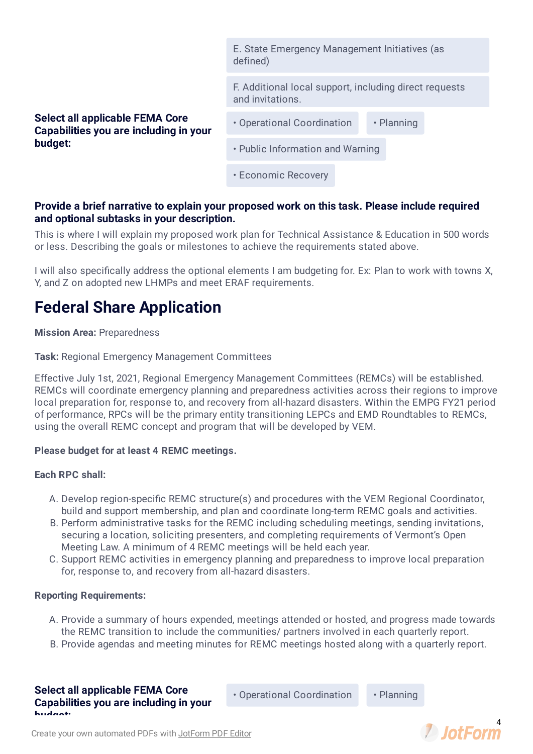E. State Emergency Management Initiatives (as defined) F. Additional local support, including direct requests and invitations. **Select all applicable FEMA Core Capabilities you are including in your budget:** • Operational Coordination • Planning • Public Information and Warning • Economic Recovery

#### **Provide a brief narrative to explain your proposed work on this task. Please include required and optional subtasks in your description.**

This is where I will explain my proposed work plan for Technical Assistance & Education in 500 words or less. Describing the goals or milestones to achieve the requirements stated above.

I will also specifically address the optional elements I am budgeting for. Ex: Plan to work with towns X, Y, and Z on adopted new LHMPs and meet ERAF requirements.

### **Federal Share Application**

#### **Mission Area:** Preparedness

**Task:** Regional Emergency Management Committees

Effective July 1st, 2021, Regional Emergency Management Committees (REMCs) will be established. REMCs will coordinate emergency planning and preparedness activities across their regions to improve local preparation for, response to, and recovery from all-hazard disasters. Within the EMPG FY21 period of performance, RPCs will be the primary entity transitioning LEPCs and EMD Roundtables to REMCs, using the overall REMC concept and program that will be developed by VEM.

#### **Please budget for at least 4 REMC meetings.**

#### **Each RPC shall:**

- A. Develop region-specific REMC structure(s) and procedures with the VEM Regional Coordinator, build and support membership, and plan and coordinate long-term REMC goals and activities.
- B. Perform administrative tasks for the REMC including scheduling meetings, sending invitations, securing a location, soliciting presenters, and completing requirements of Vermont's Open Meeting Law. A minimum of 4 REMC meetings will be held each year.
- C. Support REMC activities in emergency planning and preparedness to improve local preparation for, response to, and recovery from all-hazard disasters.

#### **Reporting Requirements:**

- A. Provide a summary of hours expended, meetings attended or hosted, and progress made towards the REMC transition to include the communities/ partners involved in each quarterly report.
- B. Provide agendas and meeting minutes for REMC meetings hosted along with a quarterly report.

**Select all applicable FEMA Core Capabilities you are including in your budget:**

• Operational Coordination • Planning

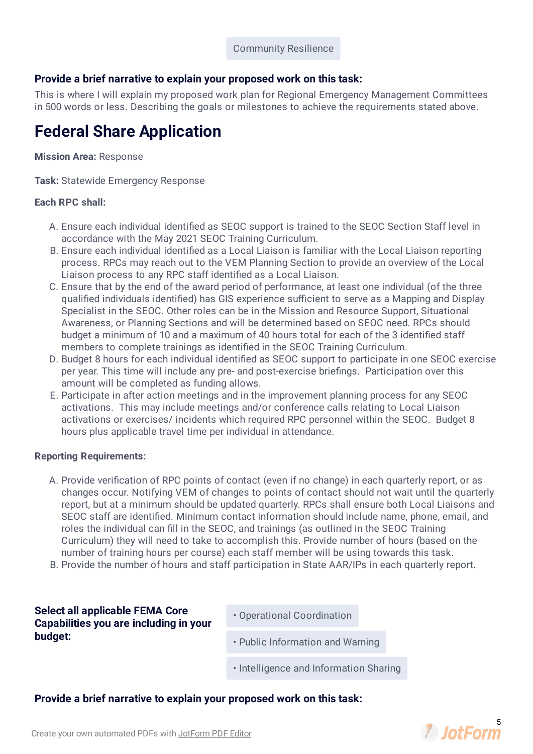#### **Provide a brief narrative to explain your proposed work on this task:**

This is where I will explain my proposed work plan for Regional Emergency Management Committees in 500 words or less. Describing the goals or milestones to achieve the requirements stated above.

### **Federal Share Application**

#### **Mission Area:** Response

**Task:** Statewide Emergency Response

#### **Each RPC shall:**

- A. Ensure each individual identified as SEOC support is trained to the SEOC Section Staff level in accordance with the May 2021 SEOC Training Curriculum.
- B. Ensure each individual identified as a Local Liaison is familiar with the Local Liaison reporting process. RPCs may reach out to the VEM Planning Section to provide an overview of the Local Liaison process to any RPC staff identified as a Local Liaison.
- C. Ensure that by the end of the award period of performance, at least one individual (of the three qualified individuals identified) has GIS experience sufficient to serve as a Mapping and Display Specialist in the SEOC. Other roles can be in the Mission and Resource Support, Situational Awareness, or Planning Sections and will be determined based on SEOC need. RPCs should budget a minimum of 10 and a maximum of 40 hours total for each of the 3 identified staff members to complete trainings as identified in the SEOC Training Curriculum.
- D. Budget 8 hours for each individual identified as SEOC support to participate in one SEOC exercise per year. This time will include any pre- and post-exercise briefings. Participation over this amount will be completed as funding allows.
- E. Participate in after action meetings and in the improvement planning process for any SEOC activations. This may include meetings and/or conference calls relating to Local Liaison activations or exercises/ incidents which required RPC personnel within the SEOC. Budget 8 hours plus applicable travel time per individual in attendance.

#### **Reporting Requirements:**

- A. Provide verification of RPC points of contact (even if no change) in each quarterly report, or as changes occur. Notifying VEM of changes to points of contact should not wait until the quarterly report, but at a minimum should be updated quarterly. RPCs shall ensure both Local Liaisons and SEOC staff are identified. Minimum contact information should include name, phone, email, and roles the individual can fill in the SEOC, and trainings (as outlined in the SEOC Training Curriculum) they will need to take to accomplish this. Provide number of hours (based on the number of training hours per course) each staff member will be using towards this task.
- B. Provide the number of hours and staff participation in State AAR/IPs in each quarterly report.

#### **Select all applicable FEMA Core Capabilities you are including in your budget:**

- Operational Coordination
- Public Information and Warning
- Intelligence and Information Sharing

#### **Provide a brief narrative to explain your proposed work on this task:**

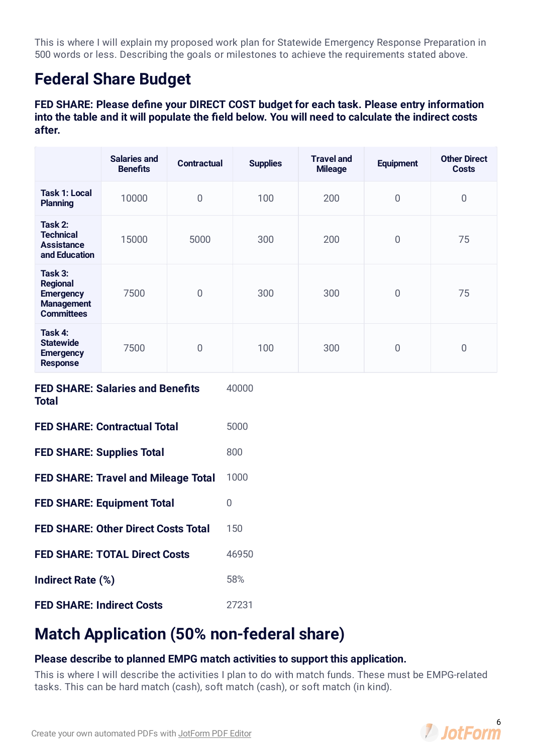This is where I will explain my proposed work plan for Statewide Emergency Response Preparation in 500 words or less. Describing the goals or milestones to achieve the requirements stated above.

### **Federal Share Budget**

**FED** SHARE: Please define your DIRECT COST budget for each task. Please entry information **into the table and it will populate the eld below. You will need to calculate the indirect costs after.**

|                                                                                          | <b>Salaries and</b><br><b>Benefits</b> | <b>Contractual</b> | <b>Supplies</b> | <b>Travel and</b><br><b>Mileage</b> | <b>Equipment</b> | <b>Other Direct</b><br><b>Costs</b> |  |  |  |
|------------------------------------------------------------------------------------------|----------------------------------------|--------------------|-----------------|-------------------------------------|------------------|-------------------------------------|--|--|--|
| <b>Task 1: Local</b><br><b>Planning</b>                                                  | 10000                                  | $\overline{0}$     | 100             | 200                                 | $\overline{0}$   | $\overline{0}$                      |  |  |  |
| Task 2:<br><b>Technical</b><br><b>Assistance</b><br>and Education                        | 15000                                  | 5000               | 300             | 200                                 | $\overline{0}$   | 75                                  |  |  |  |
| Task 3:<br><b>Regional</b><br><b>Emergency</b><br><b>Management</b><br><b>Committees</b> | 7500                                   | $\boldsymbol{0}$   | 300             | 300                                 | $\boldsymbol{0}$ | 75                                  |  |  |  |
| Task 4:<br><b>Statewide</b><br><b>Emergency</b><br><b>Response</b>                       | 7500                                   | $\overline{0}$     | 100             | 300                                 | $\overline{0}$   | $\overline{0}$                      |  |  |  |
| <b>FED SHARE: Salaries and Benefits</b><br><b>Total</b>                                  |                                        |                    | 40000           |                                     |                  |                                     |  |  |  |
| <b>FED SHARE: Contractual Total</b>                                                      |                                        |                    | 5000            |                                     |                  |                                     |  |  |  |
| <b>FED SHARE: Supplies Total</b>                                                         |                                        |                    | 800             |                                     |                  |                                     |  |  |  |
| <b>FED SHARE: Travel and Mileage Total</b>                                               |                                        |                    | 1000            |                                     |                  |                                     |  |  |  |
| <b>FED SHARE: Equipment Total</b>                                                        |                                        |                    | $\mathbf 0$     |                                     |                  |                                     |  |  |  |
| <b>FED SHARE: Other Direct Costs Total</b>                                               |                                        |                    | 150             |                                     |                  |                                     |  |  |  |
| <b>FED SHARE: TOTAL Direct Costs</b>                                                     |                                        |                    | 46950           |                                     |                  |                                     |  |  |  |
| Indirect Rate (%)                                                                        |                                        |                    | 58%             |                                     |                  |                                     |  |  |  |
| <b>FED SHARE: Indirect Costs</b>                                                         |                                        |                    | 27231           |                                     |                  |                                     |  |  |  |

### **Match Application (50% non-federal share)**

#### **Please describe to planned EMPG match activities to support this application.**

This is where I will describe the activities I plan to do with match funds. These must be EMPG-related tasks. This can be hard match (cash), soft match (cash), or soft match (in kind).

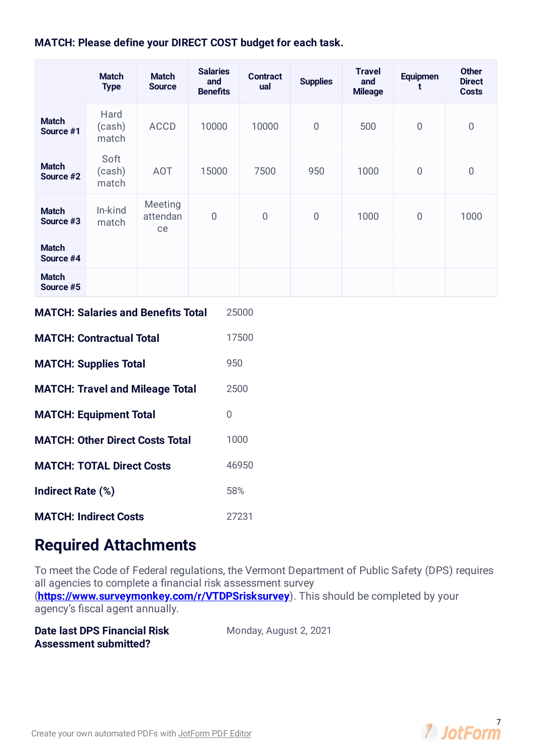#### **MATCH: Please define your DIRECT COST budget for each task.**

|                                        | <b>Match</b><br><b>Type</b> | <b>Match</b><br><b>Source</b>             | <b>Salaries</b><br>and<br><b>Benefits</b> | <b>Contract</b><br>ual | <b>Supplies</b> | <b>Travel</b><br>and<br><b>Mileage</b> | <b>Equipmen</b><br>t | <b>Other</b><br><b>Direct</b><br><b>Costs</b> |  |  |
|----------------------------------------|-----------------------------|-------------------------------------------|-------------------------------------------|------------------------|-----------------|----------------------------------------|----------------------|-----------------------------------------------|--|--|
| <b>Match</b><br>Source #1              | Hard<br>(cash)<br>match     | <b>ACCD</b>                               | 10000                                     | 10000                  | $\overline{0}$  | 500                                    | $\overline{0}$       | $\bf 0$                                       |  |  |
| <b>Match</b><br>Source #2              | Soft<br>(cash)<br>match     | <b>AOT</b>                                | 15000                                     | 7500                   | 950             | 1000                                   | $\overline{0}$       | $\overline{0}$                                |  |  |
| <b>Match</b><br>Source #3              | In-kind<br>match            | Meeting<br>attendan<br>ce                 | $\mathbf 0$                               | $\mathbf 0$            | $\mathbf 0$     | 1000                                   | $\bf 0$              | 1000                                          |  |  |
| <b>Match</b><br>Source #4              |                             |                                           |                                           |                        |                 |                                        |                      |                                               |  |  |
| <b>Match</b><br>Source #5              |                             |                                           |                                           |                        |                 |                                        |                      |                                               |  |  |
|                                        |                             | <b>MATCH: Salaries and Benefits Total</b> |                                           | 25000                  |                 |                                        |                      |                                               |  |  |
| <b>MATCH: Contractual Total</b>        |                             |                                           |                                           | 17500                  |                 |                                        |                      |                                               |  |  |
| <b>MATCH: Supplies Total</b>           |                             |                                           |                                           | 950                    |                 |                                        |                      |                                               |  |  |
| <b>MATCH: Travel and Mileage Total</b> |                             |                                           |                                           | 2500                   |                 |                                        |                      |                                               |  |  |
| <b>MATCH: Equipment Total</b>          |                             |                                           | $\mathbf 0$                               |                        |                 |                                        |                      |                                               |  |  |
| <b>MATCH: Other Direct Costs Total</b> |                             |                                           |                                           | 1000                   |                 |                                        |                      |                                               |  |  |
| <b>MATCH: TOTAL Direct Costs</b>       |                             |                                           |                                           | 46950                  |                 |                                        |                      |                                               |  |  |
| Indirect Rate (%)                      |                             |                                           |                                           | 58%                    |                 |                                        |                      |                                               |  |  |
| <b>MATCH: Indirect Costs</b>           |                             |                                           |                                           | 27231                  |                 |                                        |                      |                                               |  |  |

### **Required Attachments**

To meet the Code of Federal regulations, the Vermont Department of Public Safety (DPS) requires all agencies to complete a financial risk assessment survey (**<https://www.surveymonkey.com/r/VTDPSrisksurvey>**). This should be completed by your agency's fiscal agent annually.

**Date last DPS Financial Risk Assessment submitted?**

Monday, August 2, 2021

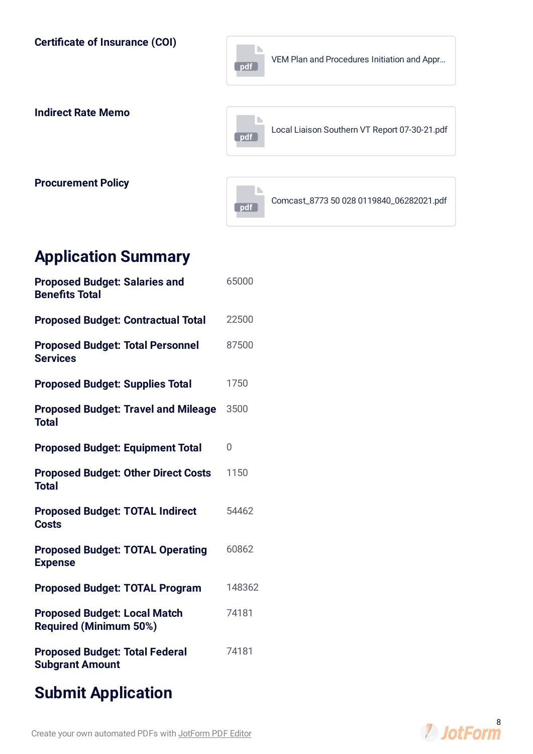**Certicate of Insurance (COI) pdf** VEM Plan and [Procedures](https://www.jotform.com/uploads/LeeDorf/211526229519153/5046354207619782371/VEM%20Plan%20and%20Procedures%20Initiation%20and%20Approval.pdf) Initiation and Appr… **Indirect Rate Memo pdf** Local Liaison Southern VT Report [07-30-21.pdf](https://www.jotform.com/uploads/LeeDorf/211526229519153/5046354207619782371/Local%20Liaison%20Southern%20VT%20Report%2007-30-21.pdf) **Procurement Policy pdf** Comcast\_8773 50 028 [0119840\\_06282021.pdf](https://www.jotform.com/uploads/LeeDorf/211526229519153/5046354207619782371/Comcast_8773%2050%20028%200119840_06282021.pdf)

### **Application Summary**

| <b>Proposed Budget: Salaries and</b><br><b>Benefits Total</b>        | 65000  |
|----------------------------------------------------------------------|--------|
| <b>Proposed Budget: Contractual Total</b>                            | 22500  |
| <b>Proposed Budget: Total Personnel</b><br><b>Services</b>           | 87500  |
| <b>Proposed Budget: Supplies Total</b>                               | 1750   |
| <b>Proposed Budget: Travel and Mileage</b><br><b>Total</b>           | 3500   |
| <b>Proposed Budget: Equipment Total</b>                              | 0      |
| <b>Proposed Budget: Other Direct Costs</b><br><b>Total</b>           | 1150   |
| <b>Proposed Budget: TOTAL Indirect</b><br><b>Costs</b>               | 54462  |
| <b>Proposed Budget: TOTAL Operating</b><br><b>Expense</b>            | 60862  |
| <b>Proposed Budget: TOTAL Program</b>                                | 148362 |
| <b>Proposed Budget: Local Match</b><br><b>Required (Minimum 50%)</b> | 74181  |
| <b>Proposed Budget: Total Federal</b><br><b>Subgrant Amount</b>      | 74181  |
|                                                                      |        |

### **Submit Application**